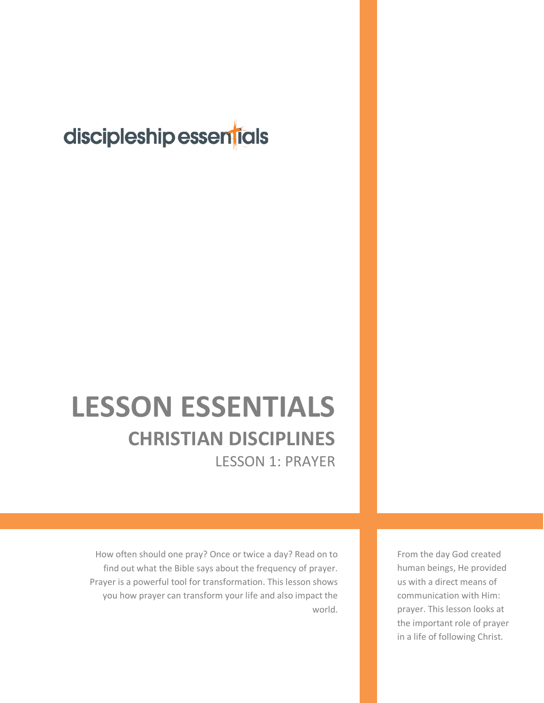## discipleship essentials

# **LESSON ESSENTIALS CHRISTIAN DISCIPLINES** LESSON 1: PRAYER

How often should one pray? Once or twice a day? Read on to find out what the Bible says about the frequency of prayer. Prayer is a powerful tool for transformation. This lesson shows you how prayer can transform your life and also impact the world.

From the day God created human beings, He provided us with a direct means of communication with Him: prayer. This lesson looks at the important role of prayer in a life of following Christ.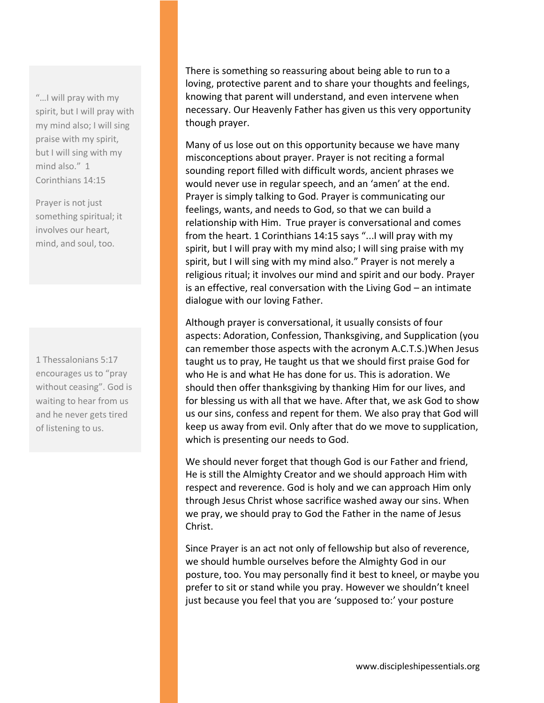"…I will pray with my spirit, but I will pray with my mind also; I will sing praise with my spirit, but I will sing with my mind also." 1 Corinthians 14:15

Prayer is not just something spiritual; it involves our heart, mind, and soul, too.

1 Thessalonians 5:17 encourages us to "pray without ceasing". God is waiting to hear from us and he never gets tired of listening to us.

There is something so reassuring about being able to run to a loving, protective parent and to share your thoughts and feelings, knowing that parent will understand, and even intervene when necessary. Our Heavenly Father has given us this very opportunity though prayer.

Many of us lose out on this opportunity because we have many misconceptions about prayer. Prayer is not reciting a formal sounding report filled with difficult words, ancient phrases we would never use in regular speech, and an 'amen' at the end. Prayer is simply talking to God. Prayer is communicating our feelings, wants, and needs to God, so that we can build a relationship with Him. True prayer is conversational and comes from the heart. 1 Corinthians 14:15 says "...I will pray with my spirit, but I will pray with my mind also; I will sing praise with my spirit, but I will sing with my mind also." Prayer is not merely a religious ritual; it involves our mind and spirit and our body. Prayer is an effective, real conversation with the Living God – an intimate dialogue with our loving Father.

Although prayer is conversational, it usually consists of four aspects: Adoration, Confession, Thanksgiving, and Supplication (you can remember those aspects with the acronym A.C.T.S.)When Jesus taught us to pray, He taught us that we should first praise God for who He is and what He has done for us. This is adoration. We should then offer thanksgiving by thanking Him for our lives, and for blessing us with all that we have. After that, we ask God to show us our sins, confess and repent for them. We also pray that God will keep us away from evil. Only after that do we move to supplication, which is presenting our needs to God.

We should never forget that though God is our Father and friend, He is still the Almighty Creator and we should approach Him with respect and reverence. God is holy and we can approach Him only through Jesus Christ whose sacrifice washed away our sins. When we pray, we should pray to God the Father in the name of Jesus Christ.

Since Prayer is an act not only of fellowship but also of reverence, we should humble ourselves before the Almighty God in our posture, too. You may personally find it best to kneel, or maybe you prefer to sit or stand while you pray. However we shouldn't kneel just because you feel that you are 'supposed to:' your posture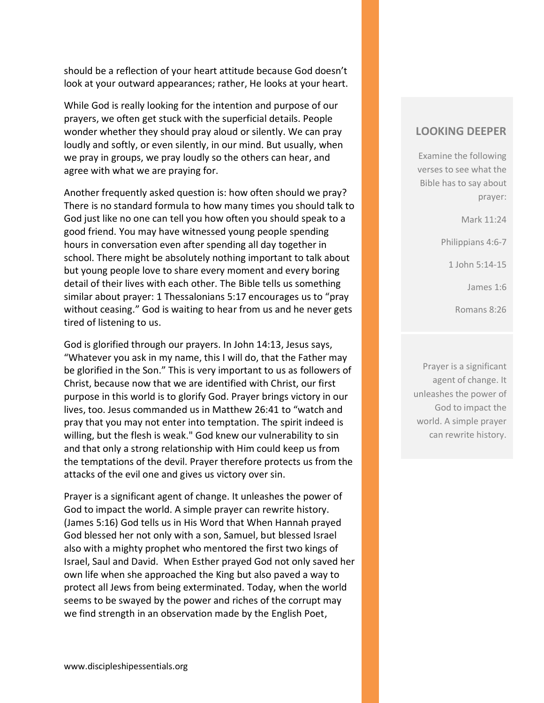should be a reflection of your heart attitude because God doesn't look at your outward appearances; rather, He looks at your heart.

While God is really looking for the intention and purpose of our prayers, we often get stuck with the superficial details. People wonder whether they should pray aloud or silently. We can pray loudly and softly, or even silently, in our mind. But usually, when we pray in groups, we pray loudly so the others can hear, and agree with what we are praying for.

Another frequently asked question is: how often should we pray? There is no standard formula to how many times you should talk to God just like no one can tell you how often you should speak to a good friend. You may have witnessed young people spending hours in conversation even after spending all day together in school. There might be absolutely nothing important to talk about but young people love to share every moment and every boring detail of their lives with each other. The Bible tells us something similar about prayer: 1 Thessalonians 5:17 encourages us to "pray without ceasing." God is waiting to hear from us and he never gets tired of listening to us.

God is glorified through our prayers. In John 14:13, Jesus says, "Whatever you ask in my name, this I will do, that the Father may be glorified in the Son." This is very important to us as followers of Christ, because now that we are identified with Christ, our first purpose in this world is to glorify God. Prayer brings victory in our lives, too. Jesus commanded us in Matthew 26:41 to "watch and pray that you may not enter into temptation. The spirit indeed is willing, but the flesh is weak." God knew our vulnerability to sin and that only a strong relationship with Him could keep us from the temptations of the devil. Prayer therefore protects us from the attacks of the evil one and gives us victory over sin.

Prayer is a significant agent of change. It unleashes the power of God to impact the world. A simple prayer can rewrite history. (James 5:16) God tells us in His Word that When Hannah prayed God blessed her not only with a son, Samuel, but blessed Israel also with a mighty prophet who mentored the first two kings of Israel, Saul and David. When Esther prayed God not only saved her own life when she approached the King but also paved a way to protect all Jews from being exterminated. Today, when the world seems to be swayed by the power and riches of the corrupt may we find strength in an observation made by the English Poet,

#### **LOOKING DEEPER**

Examine the following verses to see what the Bible has to say about prayer:

Mark 11:24

Philippians 4:6-7

1 John 5:14-15

James 1:6

Romans 8:26

Prayer is a significant agent of change. It unleashes the power of God to impact the world. A simple prayer can rewrite history.